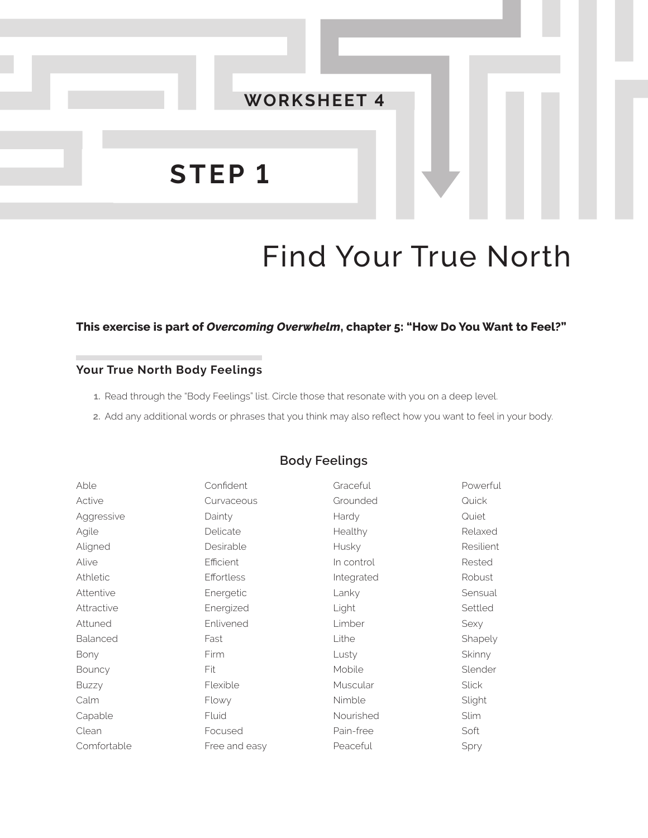

# Find Your True North

#### **This exercise is part of** *Overcoming Overwhelm***, chapter 5: "How Do You Want to Feel?"**

#### **Your True North Body Feelings**

- **1.** Read through the "Body Feelings" list. Circle those that resonate with you on a deep level.
- **2.** Add any additional words or phrases that you think may also reflect how you want to feel in your body.

| Able        | Confident     | Graceful   | Powerful     |
|-------------|---------------|------------|--------------|
| Active      | Curvaceous    | Grounded   | Quick        |
| Aggressive  | Dainty        | Hardy      | Quiet        |
| Agile       | Delicate      | Healthy    | Relaxed      |
| Aligned     | Desirable     | Husky      | Resilient    |
| Alive       | Efficient     | In control | Rested       |
| Athletic    | Effortless    | Integrated | Robust       |
| Attentive   | Energetic     | Lanky      | Sensual      |
| Attractive  | Energized     | Light      | Settled      |
| Attuned     | Enlivened     | Limber     | Sexy         |
| Balanced    | Fast          | Lithe      | Shapely      |
| Bony        | Firm          | Lusty      | Skinny       |
| Bouncy      | Fit           | Mobile     | Slender      |
| Buzzy       | Flexible      | Muscular   | <b>Slick</b> |
| Calm        | Flowy         | Nimble     | Slight       |
| Capable     | Fluid         | Nourished  | <b>Slim</b>  |
| Clean       | Focused       | Pain-free  | Soft         |
| Comfortable | Free and easy | Peaceful   | Spry         |
|             |               |            |              |

## **Body Feelings**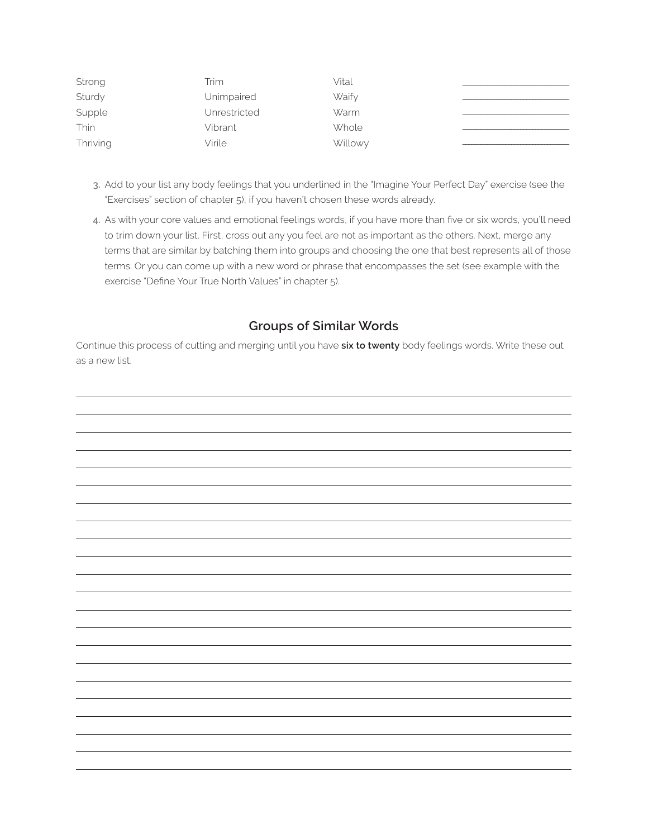| Strong   | Trim         | Vital   |  |
|----------|--------------|---------|--|
| Sturdy   | Unimpaired   | Waify   |  |
| Supple   | Unrestricted | Warm    |  |
| Thin     | Vibrant      | Whole   |  |
| Thriving | Virile       | Willowy |  |

- **3.** Add to your list any body feelings that you underlined in the "Imagine Your Perfect Day" exercise (see the "Exercises" section of chapter 5), if you haven't chosen these words already.
- **4.** As with your core values and emotional feelings words, if you have more than five or six words, you'll need to trim down your list. First, cross out any you feel are not as important as the others. Next, merge any terms that are similar by batching them into groups and choosing the one that best represents all of those terms. Or you can come up with a new word or phrase that encompasses the set (see example with the exercise "Define Your True North Values" in chapter 5).

## **Groups of Similar Words**

Continue this process of cutting and merging until you have **six to twenty** body feelings words. Write these out as a new list.